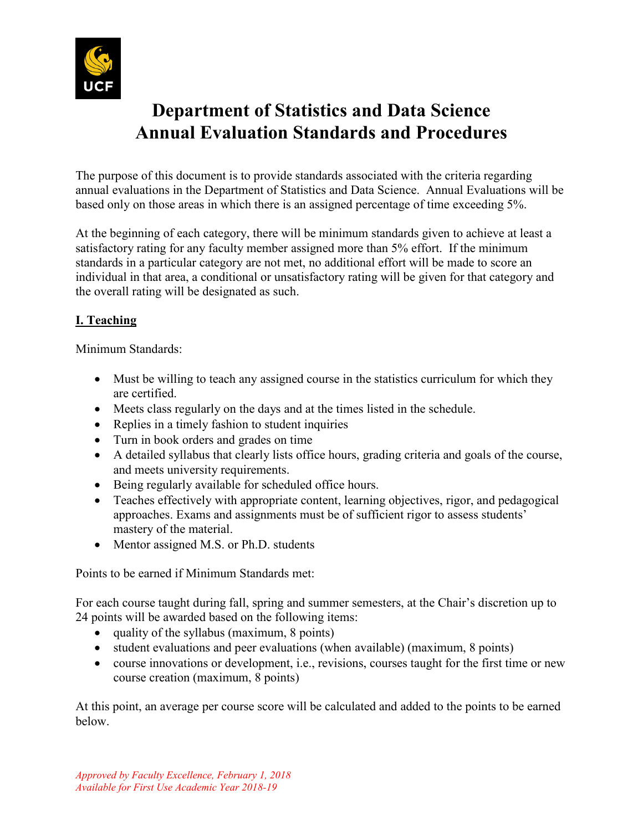

# **Department of Statistics and Data Science Annual Evaluation Standards and Procedures**

The purpose of this document is to provide standards associated with the criteria regarding annual evaluations in the Department of Statistics and Data Science. Annual Evaluations will be based only on those areas in which there is an assigned percentage of time exceeding 5%.

At the beginning of each category, there will be minimum standards given to achieve at least a satisfactory rating for any faculty member assigned more than 5% effort. If the minimum standards in a particular category are not met, no additional effort will be made to score an individual in that area, a conditional or unsatisfactory rating will be given for that category and the overall rating will be designated as such.

## **I. Teaching**

Minimum Standards:

- Must be willing to teach any assigned course in the statistics curriculum for which they are certified.
- Meets class regularly on the days and at the times listed in the schedule.
- Replies in a timely fashion to student inquiries
- Turn in book orders and grades on time
- A detailed syllabus that clearly lists office hours, grading criteria and goals of the course, and meets university requirements.
- Being regularly available for scheduled office hours.
- Teaches effectively with appropriate content, learning objectives, rigor, and pedagogical approaches. Exams and assignments must be of sufficient rigor to assess students' mastery of the material.
- Mentor assigned M.S. or Ph.D. students

Points to be earned if Minimum Standards met:

For each course taught during fall, spring and summer semesters, at the Chair's discretion up to 24 points will be awarded based on the following items:

- quality of the syllabus (maximum, 8 points)
- student evaluations and peer evaluations (when available) (maximum, 8 points)
- course innovations or development, i.e., revisions, courses taught for the first time or new course creation (maximum, 8 points)

At this point, an average per course score will be calculated and added to the points to be earned below.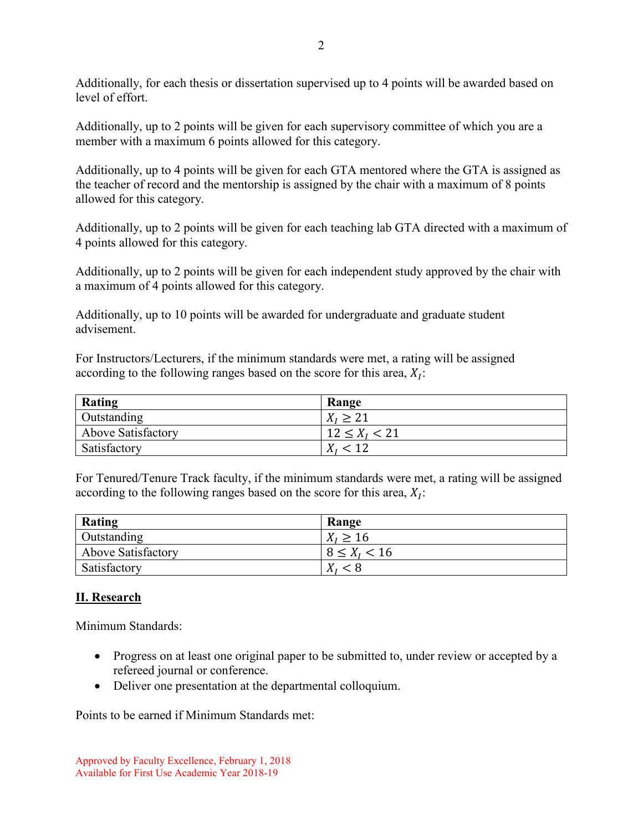Additionally, for each thesis or dissertation supervised up to 4 points will be awarded based on level of effort.

Additionally, up to 2 points will be given for each supervisory committee of which you are a member with a maximum 6 points allowed for this category.

Additionally, up to 4 points will be given for each GTA mentored where the GTA is assigned as the teacher of record and the mentorship is assigned by the chair with a maximum of 8 points allowed for this category.

Additionally, up to 2 points will be given for each teaching lab GTA directed with a maximum of 4 points allowed for this category.

Additionally, up to 2 points will be given for each independent study approved by the chair with a maximum of 4 points allowed for this category.

Additionally, up to 10 points will be awarded for undergraduate and graduate student advisement.

For Instructors/Lecturers, if the minimum standards were met, a rating will be assigned according to the following ranges based on the score for this area,  $X_i$ :

| Rating             | Range             |
|--------------------|-------------------|
| Outstanding        | $X_i \geq 21$     |
| Above Satisfactory | $12 \le X_I < 21$ |
| Satisfactory       |                   |

For Tenured/Tenure Track faculty, if the minimum standards were met, a rating will be assigned according to the following ranges based on the score for this area,  $X_i$ :

| Rating                    | Range              |
|---------------------------|--------------------|
| Outstanding               | $X_I \geq 16$      |
| <b>Above Satisfactory</b> | $8 \le X_{I} < 16$ |
| Satisfactory              | $X_i < 8$          |

#### **II. Research**

Minimum Standards:

- Progress on at least one original paper to be submitted to, under review or accepted by a refereed journal or conference.
- Deliver one presentation at the departmental colloquium.

Points to be earned if Minimum Standards met: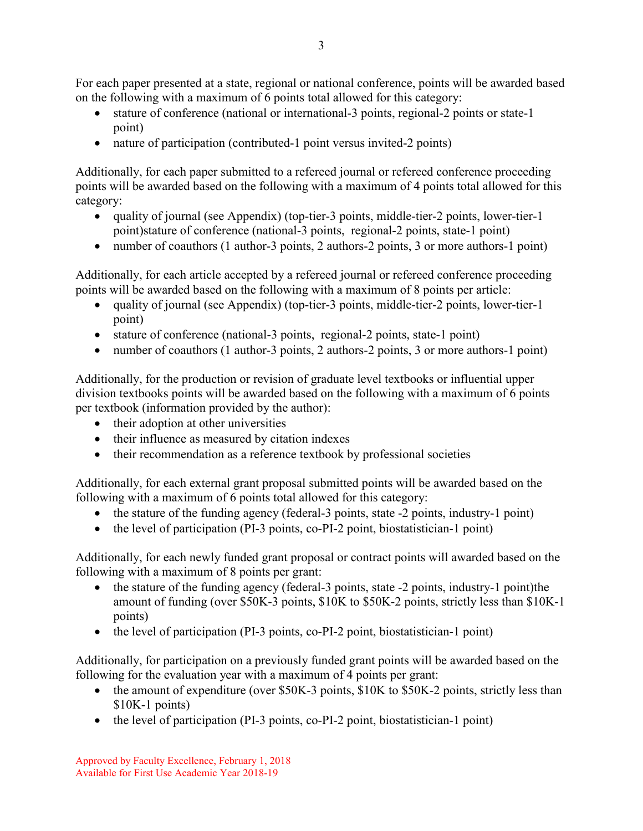For each paper presented at a state, regional or national conference, points will be awarded based on the following with a maximum of 6 points total allowed for this category:

- stature of conference (national or international-3 points, regional-2 points or state-1 point)
- nature of participation (contributed-1 point versus invited-2 points)

Additionally, for each paper submitted to a refereed journal or refereed conference proceeding points will be awarded based on the following with a maximum of 4 points total allowed for this category:

- quality of journal (see Appendix) (top-tier-3 points, middle-tier-2 points, lower-tier-1 point)stature of conference (national-3 points, regional-2 points, state-1 point)
- number of coauthors (1 author-3 points, 2 authors-2 points, 3 or more authors-1 point)

Additionally, for each article accepted by a refereed journal or refereed conference proceeding points will be awarded based on the following with a maximum of 8 points per article:

- quality of journal (see Appendix) (top-tier-3 points, middle-tier-2 points, lower-tier-1 point)
- stature of conference (national-3 points, regional-2 points, state-1 point)
- number of coauthors (1 author-3 points, 2 authors-2 points, 3 or more authors-1 point)

Additionally, for the production or revision of graduate level textbooks or influential upper division textbooks points will be awarded based on the following with a maximum of 6 points per textbook (information provided by the author):

- their adoption at other universities
- their influence as measured by citation indexes
- their recommendation as a reference textbook by professional societies

Additionally, for each external grant proposal submitted points will be awarded based on the following with a maximum of 6 points total allowed for this category:

- the stature of the funding agency (federal-3 points, state -2 points, industry-1 point)
- the level of participation (PI-3 points, co-PI-2 point, biostatistician-1 point)

Additionally, for each newly funded grant proposal or contract points will awarded based on the following with a maximum of 8 points per grant:

- the stature of the funding agency (federal-3 points, state -2 points, industry-1 point)the amount of funding (over \$50K-3 points, \$10K to \$50K-2 points, strictly less than \$10K-1 points)
- the level of participation (PI-3 points, co-PI-2 point, biostatistician-1 point)

Additionally, for participation on a previously funded grant points will be awarded based on the following for the evaluation year with a maximum of 4 points per grant:

- the amount of expenditure (over \$50K-3 points, \$10K to \$50K-2 points, strictly less than \$10K-1 points)
- the level of participation (PI-3 points, co-PI-2 point, biostatistician-1 point)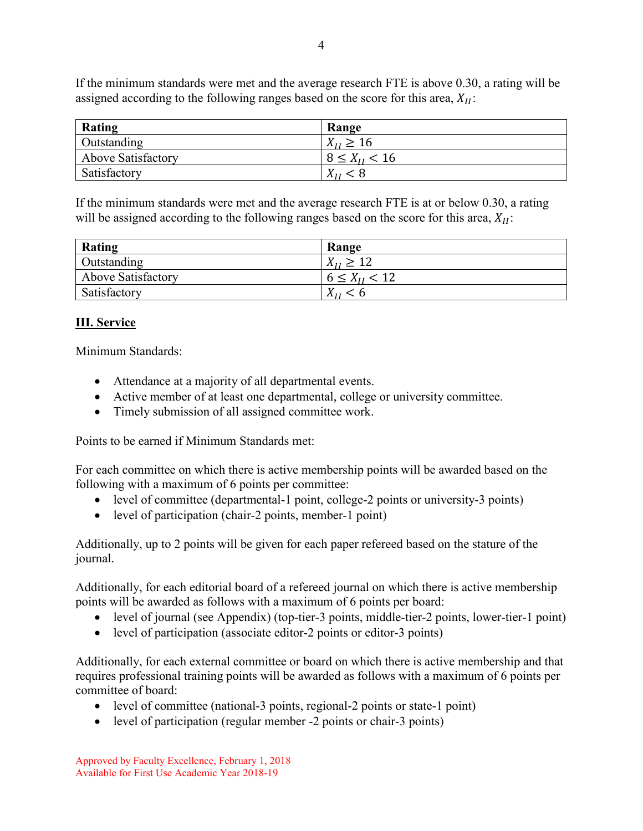If the minimum standards were met and the average research FTE is above 0.30, a rating will be assigned according to the following ranges based on the score for this area,  $X_{II}$ :

| Rating                    | Range               |
|---------------------------|---------------------|
| Outstanding               | $X_{II} \ge 16$     |
| <b>Above Satisfactory</b> | $8 \le X_{II} < 16$ |
| Satisfactory              | $X_{II}$ < 8        |

If the minimum standards were met and the average research FTE is at or below 0.30, a rating will be assigned according to the following ranges based on the score for this area,  $X_{II}$ :

| Rating                    | Range               |
|---------------------------|---------------------|
| Outstanding               | $X_{II} \ge 12$     |
| <b>Above Satisfactory</b> | $6 \le X_{II} < 12$ |
| Satisfactory              | $X_{II}$ < 6        |

#### **III. Service**

Minimum Standards:

- Attendance at a majority of all departmental events.
- Active member of at least one departmental, college or university committee.
- Timely submission of all assigned committee work.

Points to be earned if Minimum Standards met:

For each committee on which there is active membership points will be awarded based on the following with a maximum of 6 points per committee:

- level of committee (departmental-1 point, college-2 points or university-3 points)
- level of participation (chair-2 points, member-1 point)

Additionally, up to 2 points will be given for each paper refereed based on the stature of the journal.

Additionally, for each editorial board of a refereed journal on which there is active membership points will be awarded as follows with a maximum of 6 points per board:

- level of journal (see Appendix) (top-tier-3 points, middle-tier-2 points, lower-tier-1 point)
- level of participation (associate editor-2 points or editor-3 points)

Additionally, for each external committee or board on which there is active membership and that requires professional training points will be awarded as follows with a maximum of 6 points per committee of board:

- level of committee (national-3 points, regional-2 points or state-1 point)
- level of participation (regular member -2 points or chair-3 points)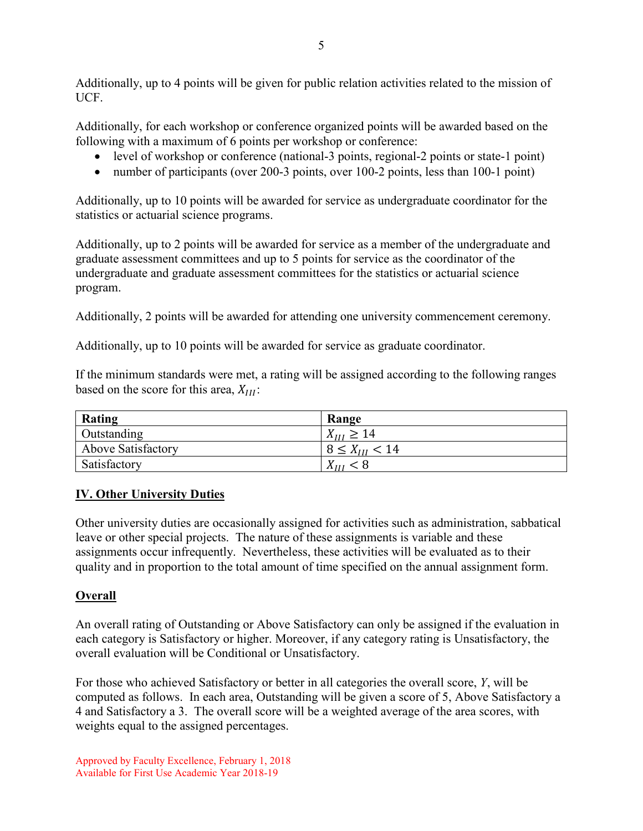Additionally, up to 4 points will be given for public relation activities related to the mission of UCF.

Additionally, for each workshop or conference organized points will be awarded based on the following with a maximum of 6 points per workshop or conference:

- level of workshop or conference (national-3 points, regional-2 points or state-1 point)
- number of participants (over 200-3 points, over 100-2 points, less than 100-1 point)

Additionally, up to 10 points will be awarded for service as undergraduate coordinator for the statistics or actuarial science programs.

Additionally, up to 2 points will be awarded for service as a member of the undergraduate and graduate assessment committees and up to 5 points for service as the coordinator of the undergraduate and graduate assessment committees for the statistics or actuarial science program.

Additionally, 2 points will be awarded for attending one university commencement ceremony.

Additionally, up to 10 points will be awarded for service as graduate coordinator.

If the minimum standards were met, a rating will be assigned according to the following ranges based on the score for this area,  $X_{III}$ :

| Rating                    | Range                |
|---------------------------|----------------------|
| Outstanding               | $X_{III} \ge 14$     |
| <b>Above Satisfactory</b> | $8 \le X_{III} < 14$ |
| Satisfactory              | $X_{III}$            |

### **IV. Other University Duties**

Other university duties are occasionally assigned for activities such as administration, sabbatical leave or other special projects. The nature of these assignments is variable and these assignments occur infrequently. Nevertheless, these activities will be evaluated as to their quality and in proportion to the total amount of time specified on the annual assignment form.

### **Overall**

An overall rating of Outstanding or Above Satisfactory can only be assigned if the evaluation in each category is Satisfactory or higher. Moreover, if any category rating is Unsatisfactory, the overall evaluation will be Conditional or Unsatisfactory.

For those who achieved Satisfactory or better in all categories the overall score, *Y*, will be computed as follows. In each area, Outstanding will be given a score of 5, Above Satisfactory a 4 and Satisfactory a 3. The overall score will be a weighted average of the area scores, with weights equal to the assigned percentages.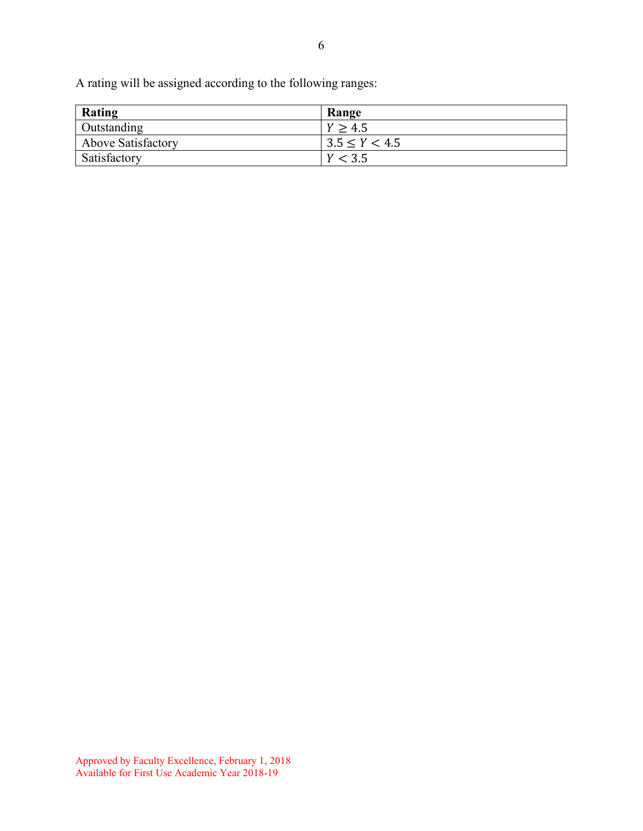A rating will be assigned according to the following ranges:

| Rating                    | Range             |
|---------------------------|-------------------|
| Outstanding               | Y > 4.5           |
| <b>Above Satisfactory</b> | $3.5 \le Y < 4.5$ |
| Satisfactory              | Y < 3.5           |